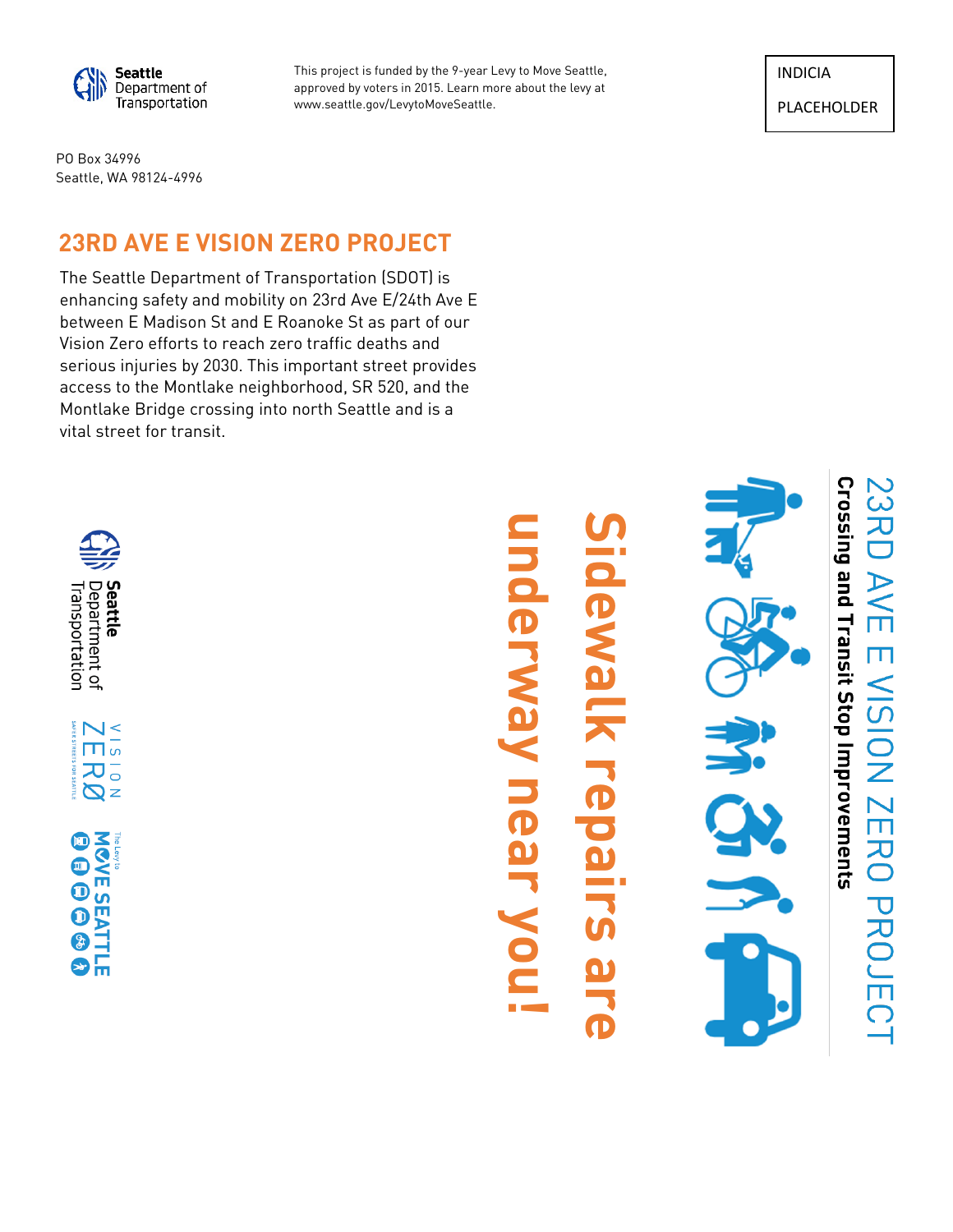

This project is funded by the 9-year Levy to Move Seattle, approved by voters in 2015. Learn more about the levy at www.seattle.gov/LevytoMoveSeattle.

INDICIA

PLACEHOLDER

ここて

AVE

 $\frac{1}{2}$ 

NOISIN

ZERO PROJECT

PO Box 34996 Seattle, WA 98124-4996

## **23RD AVE E VISION ZERO PROJECT**

The Seattle Department of Transportation (SDOT) is enhancing safety and mobility on 23rd Ave E/24th Ave E between E Madison St and E Roanoke St as part of our Vision Zero efforts to reach zero traffic deaths and serious injuries by 2030. This important street provides access to the Montlake neighborhood, SR 520, and the Montlake Bridge crossing into north Seattle and is a vital street for transit.



# **Sidewalk repairs are underway near you !**